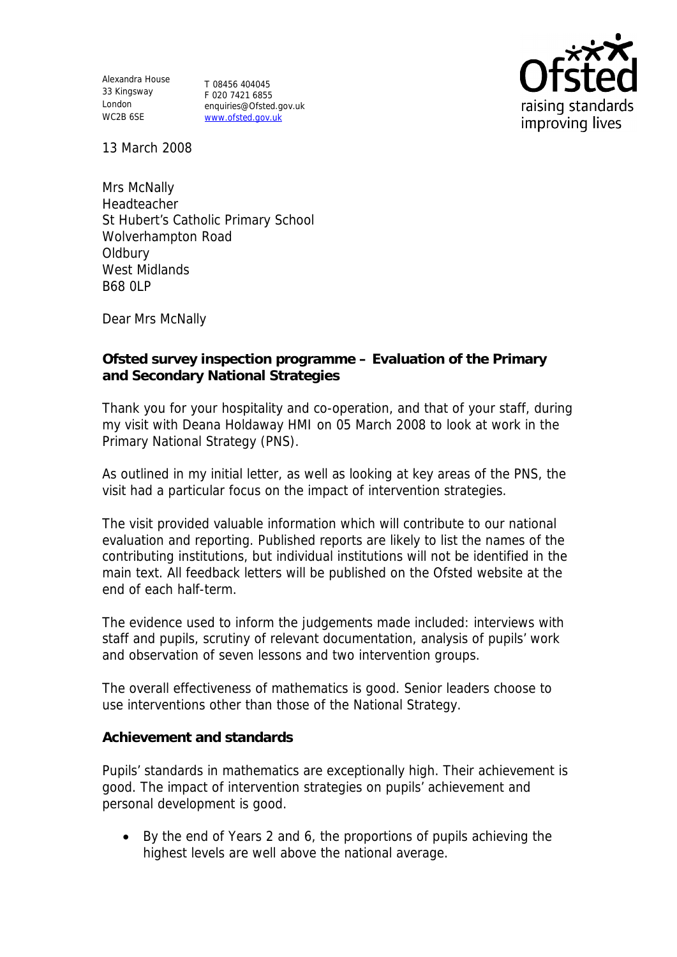Alexandra House 33 Kingsway London WC2B 6SE

T 08456 404045 F 020 7421 6855 enquiries@Ofsted.gov.uk www.ofsted.gov.uk



13 March 2008

Mrs McNally Headteacher St Hubert's Catholic Primary School Wolverhampton Road **Oldbury** West Midlands B68 0LP

Dear Mrs McNally

**Ofsted survey inspection programme – Evaluation of the Primary and Secondary National Strategies**

Thank you for your hospitality and co-operation, and that of your staff, during my visit with Deana Holdaway HMI on 05 March 2008 to look at work in the Primary National Strategy (PNS).

As outlined in my initial letter, as well as looking at key areas of the PNS, the visit had a particular focus on the impact of intervention strategies.

The visit provided valuable information which will contribute to our national evaluation and reporting. Published reports are likely to list the names of the contributing institutions, but individual institutions will not be identified in the main text. All feedback letters will be published on the Ofsted website at the end of each half-term.

The evidence used to inform the judgements made included: interviews with staff and pupils, scrutiny of relevant documentation, analysis of pupils' work and observation of seven lessons and two intervention groups.

The overall effectiveness of mathematics is good. Senior leaders choose to use interventions other than those of the National Strategy.

**Achievement and standards**

Pupils' standards in mathematics are exceptionally high. Their achievement is good. The impact of intervention strategies on pupils' achievement and personal development is good.

 By the end of Years 2 and 6, the proportions of pupils achieving the highest levels are well above the national average.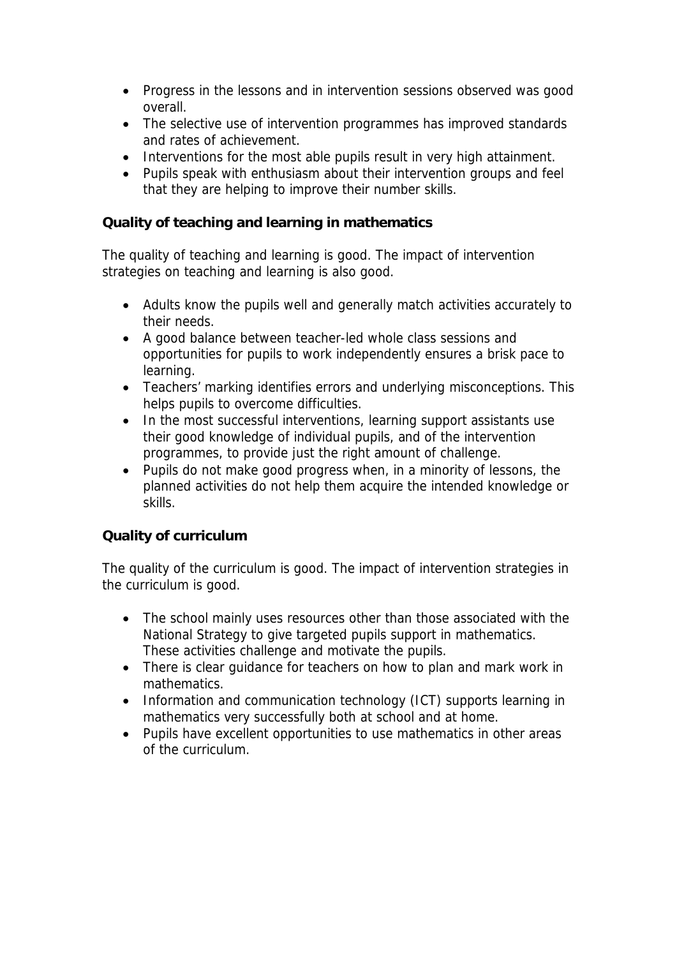- Progress in the lessons and in intervention sessions observed was good overall.
- The selective use of intervention programmes has improved standards and rates of achievement.
- Interventions for the most able pupils result in very high attainment.
- Pupils speak with enthusiasm about their intervention groups and feel that they are helping to improve their number skills.

**Quality of teaching and learning in mathematics**

The quality of teaching and learning is good. The impact of intervention strategies on teaching and learning is also good.

- Adults know the pupils well and generally match activities accurately to their needs.
- A good balance between teacher-led whole class sessions and opportunities for pupils to work independently ensures a brisk pace to learning.
- Teachers' marking identifies errors and underlying misconceptions. This helps pupils to overcome difficulties.
- In the most successful interventions, learning support assistants use their good knowledge of individual pupils, and of the intervention programmes, to provide just the right amount of challenge.
- Pupils do not make good progress when, in a minority of lessons, the planned activities do not help them acquire the intended knowledge or skills.

## **Quality of curriculum**

The quality of the curriculum is good. The impact of intervention strategies in the curriculum is good.

- The school mainly uses resources other than those associated with the National Strategy to give targeted pupils support in mathematics. These activities challenge and motivate the pupils.
- There is clear guidance for teachers on how to plan and mark work in mathematics.
- Information and communication technology (ICT) supports learning in mathematics very successfully both at school and at home.
- Pupils have excellent opportunities to use mathematics in other areas of the curriculum.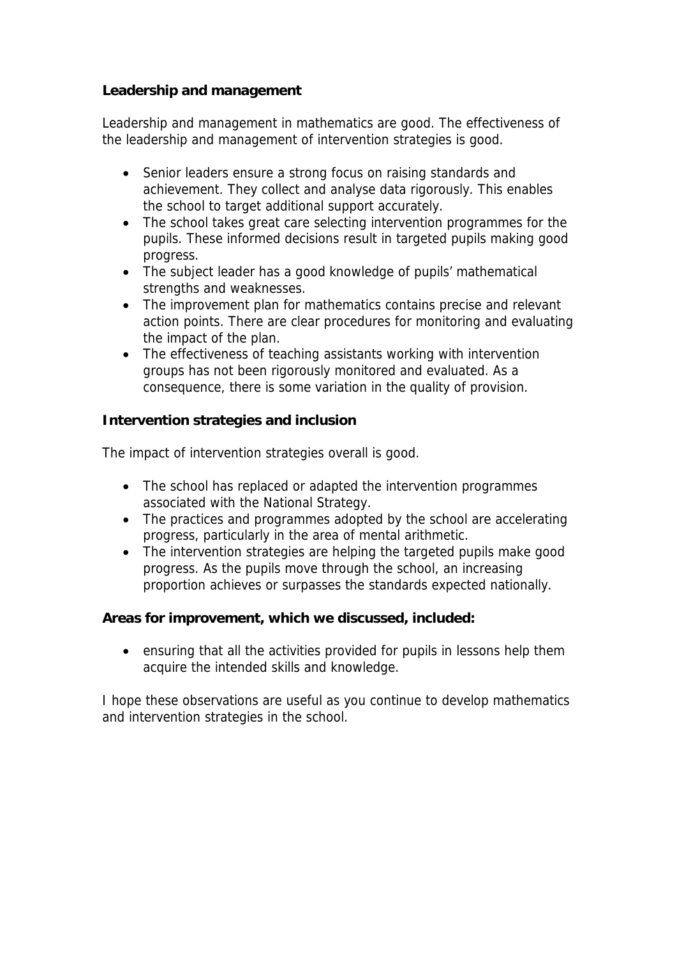**Leadership and management**

Leadership and management in mathematics are good. The effectiveness of the leadership and management of intervention strategies is good.

- Senior leaders ensure a strong focus on raising standards and achievement. They collect and analyse data rigorously. This enables the school to target additional support accurately.
- The school takes great care selecting intervention programmes for the pupils. These informed decisions result in targeted pupils making good progress.
- The subject leader has a good knowledge of pupils' mathematical strengths and weaknesses.
- The improvement plan for mathematics contains precise and relevant action points. There are clear procedures for monitoring and evaluating the impact of the plan.
- The effectiveness of teaching assistants working with intervention groups has not been rigorously monitored and evaluated. As a consequence, there is some variation in the quality of provision.

**Intervention strategies and inclusion**

The impact of intervention strategies overall is good.

- The school has replaced or adapted the intervention programmes associated with the National Strategy.
- The practices and programmes adopted by the school are accelerating progress, particularly in the area of mental arithmetic.
- The intervention strategies are helping the targeted pupils make good progress. As the pupils move through the school, an increasing proportion achieves or surpasses the standards expected nationally.

**Areas for improvement, which we discussed, included:**

 ensuring that all the activities provided for pupils in lessons help them acquire the intended skills and knowledge.

I hope these observations are useful as you continue to develop mathematics and intervention strategies in the school.